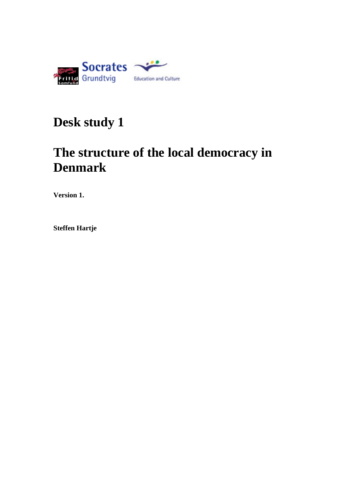

# **Desk study 1**

# **The structure of the local democracy in Denmark**

**Version 1.**

**Steffen Hartje**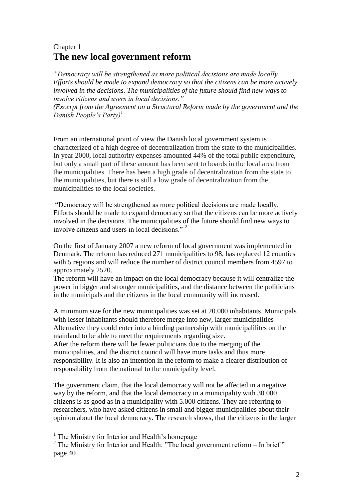# Chapter 1 **The new local government reform**

*"Democracy will be strengthened as more political decisions are made locally. Efforts should be made to expand democracy so that the citizens can be more actively involved in the decisions. The municipalities of the future should find new ways to involve citizens and users in local decisions."*

*(Excerpt from the Agreement on a Structural Reform made by the government and the Danish People's Party)<sup>1</sup>*

From an international point of view the Danish local government system is characterized of a high degree of decentralization from the state to the municipalities. In year 2000, local authority expenses amounted 44% of the total public expenditure, but only a small part of these amount has been sent to boards in the local area from the municipalities. There has been a high grade of decentralization from the state to the municipalities, but there is still a low grade of decentralization from the municipalities to the local societies.

"Democracy will be strengthened as more political decisions are made locally. Efforts should be made to expand democracy so that the citizens can be more actively involved in the decisions. The municipalities of the future should find new ways to involve citizens and users in local decisions." <sup>2</sup>

On the first of January 2007 a new reform of local government was implemented in Denmark. The reform has reduced 271 municipalities to 98, has replaced 12 counties with 5 regions and will reduce the number of district council members from 4597 to approximately 2520.

The reform will have an impact on the local democracy because it will centralize the power in bigger and stronger municipalities, and the distance between the politicians in the municipals and the citizens in the local community will increased.

A minimum size for the new municipalities was set at 20.000 inhabitants. Municipals with lesser inhabitants should therefore merge into new, larger municipalities Alternative they could enter into a binding partnership with municipalilites on the mainland to be able to meet the requirements regarding size.

After the reform there will be fewer politicians due to the merging of the municipalities, and the district council will have more tasks and thus more responsibility. It is also an intention in the reform to make a clearer distribution of responsibility from the national to the municipality level.

The government claim, that the local democracy will not be affected in a negative way by the reform, and that the local democracy in a municipality with 30.000 citizens is as good as in a municipality with 5.000 citizens. They are referring to researchers, who have asked citizens in small and bigger municipalities about their opinion about the local democracy. The research shows, that the citizens in the larger

 $\overline{a}$ 

<sup>&</sup>lt;sup>1</sup> The Ministry for Interior and Health's homepage

<sup>&</sup>lt;sup>2</sup> The Ministry for Interior and Health: "The local government reform – In brief" page 40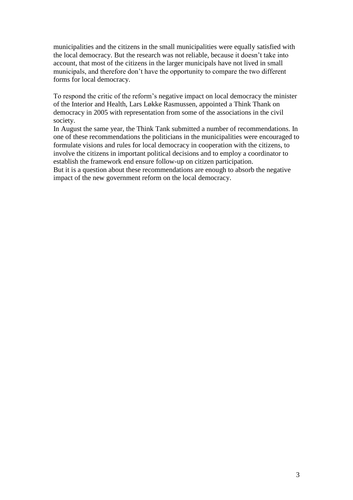municipalities and the citizens in the small municipalities were equally satisfied with the local democracy. But the research was not reliable, because it doesn't take into account, that most of the citizens in the larger municipals have not lived in small municipals, and therefore don't have the opportunity to compare the two different forms for local democracy.

To respond the critic of the reform's negative impact on local democracy the minister of the Interior and Health, Lars Løkke Rasmussen, appointed a Think Thank on democracy in 2005 with representation from some of the associations in the civil society.

In August the same year, the Think Tank submitted a number of recommendations. In one of these recommendations the politicians in the municipalities were encouraged to formulate visions and rules for local democracy in cooperation with the citizens, to involve the citizens in important political decisions and to employ a coordinator to establish the framework end ensure follow-up on citizen participation.

But it is a question about these recommendations are enough to absorb the negative impact of the new government reform on the local democracy.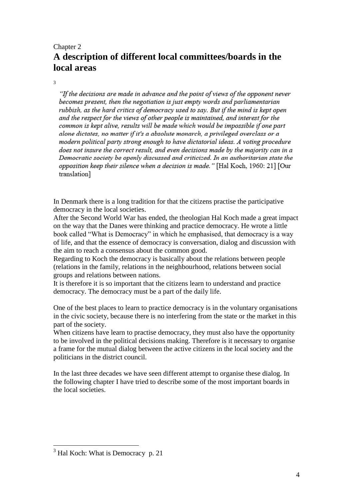# Chapter 2 **A description of different local committees/boards in the local areas**

3

"If the decisions are made in advance and the point of views of the opponent never becomes present, then the negotiation is just empty words and parliamentarian rubbish, as the hard critics of democracy used to say. But if the mind is kept open and the respect for the views of other people is maintained, and interest for the common is kept alive, results will be made which would be impossible if one part alone dictates, no matter if it's a absolute monarch, a privileged overclass or a modern political party strong enough to have dictatorial ideas. A voting procedure does not insure the correct result, and even decisions made by the majority can in a Democratic society be openly discussed and criticized. In an authoritarian state the opposition keep their silence when a decision is made." [Hal Koch, 1960: 21] [Our translation]

In Denmark there is a long tradition for that the citizens practise the participative democracy in the local societies.

After the Second World War has ended, the theologian Hal Koch made a great impact on the way that the Danes were thinking and practice democracy. He wrote a little book called "What is Democracy" in which he emphasised, that democracy is a way of life, and that the essence of democracy is conversation, dialog and discussion with the aim to reach a consensus about the common good.

Regarding to Koch the democracy is basically about the relations between people (relations in the family, relations in the neighbourhood, relations between social groups and relations between nations.

It is therefore it is so important that the citizens learn to understand and practice democracy. The democracy must be a part of the daily life.

One of the best places to learn to practice democracy is in the voluntary organisations in the civic society, because there is no interfering from the state or the market in this part of the society.

When citizens have learn to practise democracy, they must also have the opportunity to be involved in the political decisions making. Therefore is it necessary to organise a frame for the mutual dialog between the active citizens in the local society and the politicians in the district council.

In the last three decades we have seen different attempt to organise these dialog. In the following chapter I have tried to describe some of the most important boards in the local societies.

 $\overline{a}$ 

 $3$  Hal Koch: What is Democracy p. 21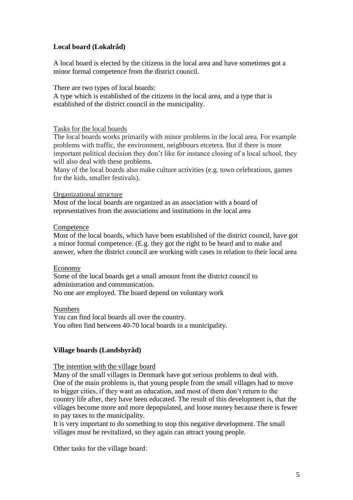# **Local board (Lokalråd)**

A local board is elected by the citizens in the local area and have sometimes got a minor formal competence from the district council.

There are two types of local boards:

A type which is established of the citizens in the local area, and a type that is established of the district council in the municipality.

#### Tasks for the local boards

The local boards works primarily with minor problems in the local area. For example problems with traffic, the environment, neighbours etcetera. But if there is more important political decision they don't like for instance closing of a local school, they will also deal with these problems.

Many of the local boards also make culture activities (e.g. town celebrations, games for the kids, smaller festivals).

#### Organizational structure

Most of the local boards are organized as an association with a board of representatives from the associations and institutions in the local area

#### Competence

Most of the local boards, which have been established of the district council, have got a minor formal competence. (E.g. they got the right to be heard and to make and answer, when the district council are working with cases in relation to their local area

#### Economy

Some of the local boards get a small amount from the district council to administration and communication.

No one are employed. The board depend on voluntary work

Numbers You can find local boards all over the country. You often find between 40-70 local boards in a municipality.

# **Village boards (Landsbyråd)**

# The intention with the village board

Many of the small villages in Denmark have got serious problems to deal with. One of the main problems is, that young people from the small villages had to move to bigger cities, if they want an education, and most of them don't return to the country life after, they have been educated. The result of this development is, that the villages become more and more depopulated, and loose money because there is fewer to pay taxes to the municipality.

It is very important to do something to stop this negative development. The small villages must be revitalized, so they again can attract young people.

Other tasks for the village board: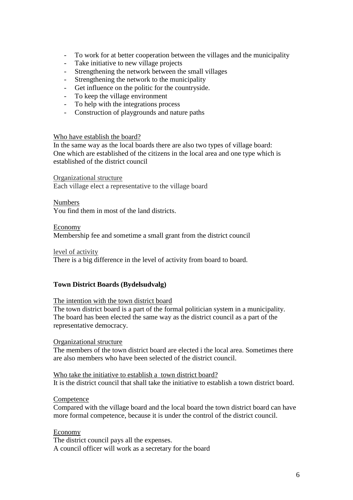- To work for at better cooperation between the villages and the municipality<br>- Take initiative to new village projects
- Take initiative to new village projects
- Strengthening the network between the small villages
- Strengthening the network to the municipality
- Get influence on the politic for the countryside.
- To keep the village environment
- To help with the integrations process
- Construction of playgrounds and nature paths

#### Who have establish the board?

In the same way as the local boards there are also two types of village board: One which are established of the citizens in the local area and one type which is established of the district council

Organizational structure

Each village elect a representative to the village board

# Numbers

You find them in most of the land districts.

Economy

Membership fee and sometime a small grant from the district council

level of activity

There is a big difference in the level of activity from board to board.

# **Town District Boards (Bydelsudvalg)**

# The intention with the town district board

The town district board is a part of the formal politician system in a municipality. The board has been elected the same way as the district council as a part of the representative democracy.

# Organizational structure

The members of the town district board are elected i the local area. Sometimes there are also members who have been selected of the district council.

Who take the initiative to establish a town district board? It is the district council that shall take the initiative to establish a town district board.

# **Competence**

Compared with the village board and the local board the town district board can have more formal competence, because it is under the control of the district council.

Economy The district council pays all the expenses. A council officer will work as a secretary for the board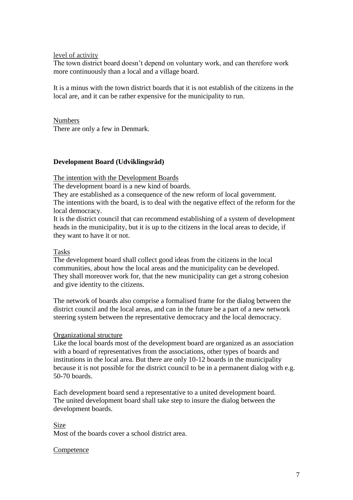level of activity

The town district board doesn't depend on voluntary work, and can therefore work more continuously than a local and a village board.

It is a minus with the town district boards that it is not establish of the citizens in the local are, and it can be rather expensive for the municipality to run.

Numbers

There are only a few in Denmark.

# **Development Board (Udviklingsråd)**

The intention with the Development Boards

The development board is a new kind of boards.

They are established as a consequence of the new reform of local government.

The intentions with the board, is to deal with the negative effect of the reform for the local democracy.

It is the district council that can recommend establishing of a system of development heads in the municipality, but it is up to the citizens in the local areas to decide, if they want to have it or not.

### Tasks

The development board shall collect good ideas from the citizens in the local communities, about how the local areas and the municipality can be developed. They shall moreover work for, that the new municipality can get a strong cohesion and give identity to the citizens.

The network of boards also comprise a formalised frame for the dialog between the district council and the local areas, and can in the future be a part of a new network steering system between the representative democracy and the local democracy.

#### Organizational structure

Like the local boards most of the development board are organized as an association with a board of representatives from the associations, other types of boards and institutions in the local area. But there are only 10-12 boards in the municipality because it is not possible for the district council to be in a permanent dialog with e.g. 50-70 boards.

Each development board send a representative to a united development board. The united development board shall take step to insure the dialog between the development boards.

#### Size

Most of the boards cover a school district area.

# **Competence**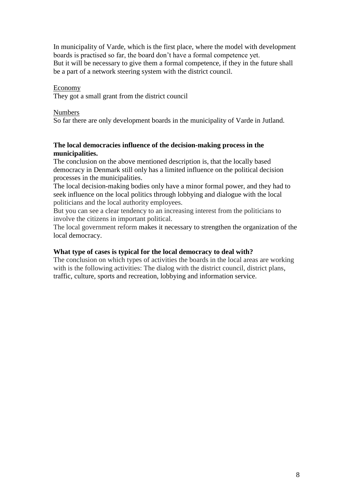In municipality of Varde, which is the first place, where the model with development boards is practised so far, the board don't have a formal competence yet. But it will be necessary to give them a formal competence, if they in the future shall be a part of a network steering system with the district council.

# Economy

They got a small grant from the district council

#### Numbers

So far there are only development boards in the municipality of Varde in Jutland.

# **The local democracies influence of the decision-making process in the municipalities.**

The conclusion on the above mentioned description is, that the locally based democracy in Denmark still only has a limited influence on the political decision processes in the municipalities.

The local decision-making bodies only have a minor formal power, and they had to seek influence on the local politics through lobbying and dialogue with the local politicians and the local authority employees.

But you can see a clear tendency to an increasing interest from the politicians to involve the citizens in important political.

The local government reform makes it necessary to strengthen the organization of the local democracy.

### **What type of cases is typical for the local democracy to deal with?**

The conclusion on which types of activities the boards in the local areas are working with is the following activities: The dialog with the district council, district plans, traffic, culture, sports and recreation, lobbying and information service.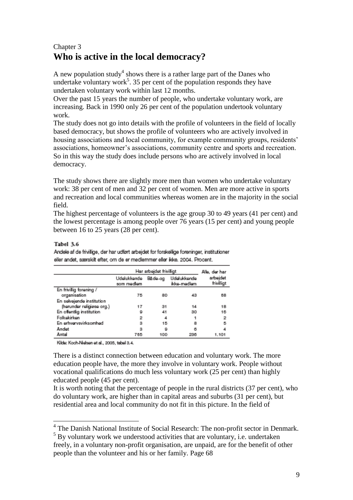# Chapter 3 **Who is active in the local democracy?**

A new population study<sup>4</sup> shows there is a rather large part of the Danes who undertake voluntary work<sup>5</sup>. 35 per cent of the population responds they have undertaken voluntary work within last 12 months.

Over the past 15 years the number of people, who undertake voluntary work, are increasing. Back in 1990 only 26 per cent of the population undertook voluntary work.

The study does not go into details with the profile of volunteers in the field of locally based democracy, but shows the profile of volunteers who are actively involved in housing associations and local community, for example community groups, residents' associations, homeowner's associations, community centre and sports and recreation. So in this way the study does include persons who are actively involved in local democracy.

The study shows there are slightly more men than women who undertake voluntary work: 38 per cent of men and 32 per cent of women. Men are more active in sports and recreation and local communities whereas women are in the majority in the social field.

The highest percentage of volunteers is the age group 30 to 49 years (41 per cent) and the lowest percentage is among people over 76 years (15 per cent) and young people between 16 to 25 years (28 per cent).

# Tabel 3.6

Andele af de frivilige, der har udført arbeidet for forskellige foreninger, institutioner eller andet, særskit efter, om de er medlemmer eller ikke. 2004. Procent.

|                           | Har arbeidet friviligt    | Allo, dor har |                            |                        |  |
|---------------------------|---------------------------|---------------|----------------------------|------------------------|--|
|                           | Udelukkende<br>som medlem | Både-og       | Udalukkende<br>ikke-medlem | arbajdet<br>frivilligt |  |
| En frivilig forening /    |                           |               |                            |                        |  |
| organisation              | 75                        | 80            | 43                         | 68                     |  |
| En selvejende institution |                           |               |                            |                        |  |
| (herunder religiese org.) | 17                        | 31            | 14                         | 18                     |  |
| En offentig institution   | ٥                         | 41            | 30                         | 16                     |  |
| Folkekirken               | 2                         | ᆆ             |                            | 2                      |  |
| En erhvervsvirksomhed     | з                         | 15            | а                          | Б                      |  |
| Andet                     | з                         | ٥             | ō                          |                        |  |
| Antal                     | 765                       | 100           | 236                        | 1.101                  |  |

Kilde: Koch-Nielsen et al., 2005, tabel 3.4.

There is a distinct connection between education and voluntary work. The more education people have, the more they involve in voluntary work. People without vocational qualifications do much less voluntary work (25 per cent) than highly educated people (45 per cent).

It is worth noting that the percentage of people in the rural districts (37 per cent), who do voluntary work, are higher than in capital areas and suburbs (31 per cent), but residential area and local community do not fit in this picture. In the field of

 4 The Danish National Institute of Social Research: The non-profit sector in Denmark.

 $5$  By voluntary work we understood activities that are voluntary, i.e. undertaken freely, in a voluntary non-profit organisation, are unpaid, are for the benefit of other people than the volunteer and his or her family. Page 68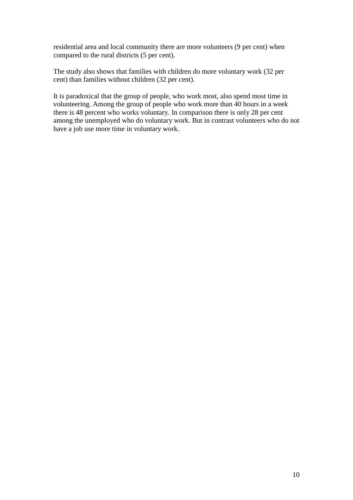residential area and local community there are more volunteers (9 per cent) when compared to the rural districts (5 per cent).

The study also shows that families with children do more voluntary work (32 per cent) than families without children (32 per cent).

It is paradoxical that the group of people, who work most, also spend most time in volunteering. Among the group of people who work more than 40 hours in a week there is 48 percent who works voluntary. In comparison there is only 28 per cent among the unemployed who do voluntary work. But in contrast volunteers who do not have a job use more time in voluntary work.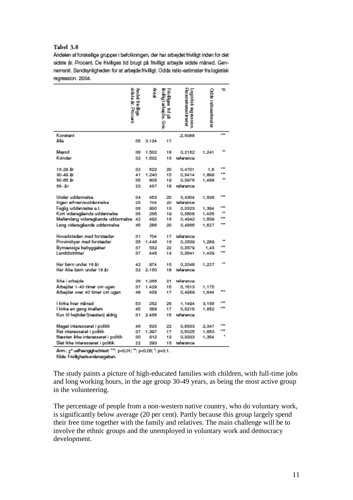#### Tabel 3.8

Andelen af forskellige grupper i befolkningen, der har arbejdet frivilligt inden for det sidste år. Procent. De friviliges tid brugt på friviligt arbejde sidste måned. Gennemsnit. Sandsynligheden for at arbejde friviligt. Odds ratio-estimater fra logistisk regression. 2004.

|                                    | sidata år. Procent<br>Andal frivillige | させ    | uviligas<br>iviligtarbado. Gre.<br>Ë<br>B | <b>Uramotorostimator</b><br>Losse Bet Registron. | Odds ratioestimater | ℸ                |
|------------------------------------|----------------------------------------|-------|-------------------------------------------|--------------------------------------------------|---------------------|------------------|
| Konstant                           |                                        |       |                                           | $-2,6088$                                        |                     | m                |
| Ale                                | 35                                     | 3.134 | 17                                        |                                                  |                     |                  |
| Maand                              | 38                                     | 1.502 | 18                                        | 0,2162                                           | 1,241               |                  |
| Kvinder                            | 32                                     | 1.632 | 16                                        | reference                                        |                     |                  |
|                                    |                                        |       |                                           |                                                  |                     |                  |
| 16-29 år                           | 32                                     | 622   | 20                                        | 0,4701                                           | 1,6                 | <b>W 900</b><br> |
| 30-49 år                           | 41                                     | 1.240 | 15                                        | 0,6414                                           | 1,899               |                  |
| 50-65 år                           | 35                                     | 805   | 19                                        | 0,3976                                           | 1,488               |                  |
| 66-år                              | 23                                     | 467   | 18                                        | reference                                        |                     |                  |
| Under uddannelse                   | 34                                     | 453   | 20                                        | 0,4304                                           | 1,538               |                  |
| ingen erhvervsuddannelse           | 25                                     | 704   | 20                                        | reference                                        |                     |                  |
| Faglig uddannelse e.l.             | 36                                     | 930   | 13                                        | 0,3323                                           | 1,394               |                  |
| Kort videregående uddannelse       | 36                                     | 266   | 19                                        | 0,3508                                           | 1,435               |                  |
| Mellemlang videregående uddannelse | 42                                     | 492   | 16                                        | 0,4942                                           | 1,639               |                  |
| Lang videregående uddannelse       | 45                                     | 286   | 20                                        | 0,4866                                           | 1,627               |                  |
| Hovedstaden med forstæder          | 31                                     | 704   | 17                                        | reference                                        |                     |                  |
| Provinsbyer med forstæder          | 35                                     | 1,448 | 16                                        | 0,2539                                           | 1,289               | m                |
| Bymæssige bebyggelser              | 37                                     | 532   | 22                                        | 0,3579                                           | 1,43                |                  |
| Landdistrikter                     | 37                                     | 445   | 14                                        | 0.3541                                           | 1,439               |                  |
| Har børn under 18 år               | 42                                     | 974   | 16                                        | 0.2048                                           | 1,227               |                  |
| Har ikke bøm under 18 år           | 32                                     | 2.160 | 18                                        | reference                                        |                     |                  |
|                                    |                                        |       |                                           |                                                  |                     |                  |
| lkke i arbejde                     | 28                                     | 1.265 | 21                                        | reference                                        |                     |                  |
| Arbajder 1-40 timer om ugen        | 37                                     | 1,429 | 15                                        | 0,1613                                           | 1,175               |                  |
| Arbajder over 40 timer om ugen     | 48                                     | 439   | 17                                        | 0,4969                                           | 1,644               |                  |
| l kirke hver måned                 | 53                                     | 262   | 26                                        | 1,1494                                           | 3,156               |                  |
| l kirke en gang imellem            | 45                                     | 389   | 17                                        | 0,6216                                           | 1,862               |                  |
| Kun til hejtider/(næsten) aldrig   | 31                                     | 2,466 | 15                                        | reference                                        |                     |                  |
|                                    |                                        |       |                                           |                                                  |                     |                  |
| Meget interesseret i politik       | 46                                     | 520   | 22                                        | 0,8533                                           | 2,347               |                  |
| Ret interesseret i politik         | 37                                     | 1.397 | 17                                        | 0,5025                                           | 1,653               |                  |
| Næsten ikke interesseret i politik | 30                                     | 912   | 13                                        | 0,3033                                           | 1,354               |                  |
| Slet ikke interesseret i politik   | 22                                     | 203   | 16                                        | reference                                        |                     |                  |

Anm.:  $\chi^2$  usfhængighedstest: "": p<0,01; ": p<0,06; ": p<0,1.

Kilde: Frivilighedsundersagelsen.

The study paints a picture of high-educated families with children, with full-time jobs and long working hours, in the age group 30-49 years, as being the most active group in the volunteering.

The percentage of people from a non-western native country, who do voluntary work, is significantly below average (20 per cent). Partly because this group largely spend their free time together with the family and relatives. The main challenge will be to involve the ethnic groups and the unemployed in voluntary work and democracy development.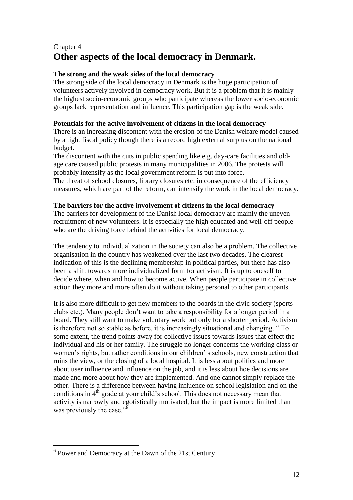# Chapter 4 **Other aspects of the local democracy in Denmark.**

# **The strong and the weak sides of the local democracy**

The strong side of the local democracy in Denmark is the huge participation of volunteers actively involved in democracy work. But it is a problem that it is mainly the highest socio-economic groups who participate whereas the lower socio-economic groups lack representation and influence. This participation gap is the weak side.

# **Potentials for the active involvement of citizens in the local democracy**

There is an increasing discontent with the erosion of the Danish welfare model caused by a tight fiscal policy though there is a record high external surplus on the national budget.

The discontent with the cuts in public spending like e.g. day-care facilities and oldage care caused public protests in many municipalities in 2006. The protests will probably intensify as the local government reform is put into force.

The threat of school closures, library closures etc. in consequence of the efficiency measures, which are part of the reform, can intensify the work in the local democracy.

# **The barriers for the active involvement of citizens in the local democracy**

The barriers for development of the Danish local democracy are mainly the uneven recruitment of new volunteers. It is especially the high educated and well-off people who are the driving force behind the activities for local democracy.

The tendency to individualization in the society can also be a problem. The collective organisation in the country has weakened over the last two decades. The clearest indication of this is the declining membership in political parties, but there has also been a shift towards more individualized form for activism. It is up to oneself to decide where, when and how to become active. When people participate in collective action they more and more often do it without taking personal to other participants.

It is also more difficult to get new members to the boards in the civic society (sports clubs etc.). Many people don't want to take a responsibility for a longer period in a board. They still want to make voluntary work but only for a shorter period. Activism is therefore not so stable as before, it is increasingly situational and changing. " To some extent, the trend points away for collective issues towards issues that effect the individual and his or her family. The struggle no longer concerns the working class or women's rights, but rather conditions in our children' s schools, new construction that ruins the view, or the closing of a local hospital. It is less about politics and more about user influence and influence on the job, and it is less about hoe decisions are made and more about how they are implemented. And one cannot simply replace the other. There is a difference between having influence on school legislation and on the conditions in 4<sup>th</sup> grade at your child's school. This does not necessary mean that activity is narrowly and egotistically motivated, but the impact is more limited than was previously the case." $\overline{6}$ 

 $\overline{a}$ 

<sup>&</sup>lt;sup>6</sup> Power and Democracy at the Dawn of the 21st Century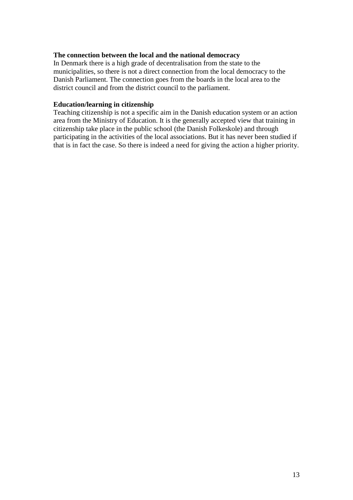# **The connection between the local and the national democracy**

In Denmark there is a high grade of decentralisation from the state to the municipalities, so there is not a direct connection from the local democracy to the Danish Parliament. The connection goes from the boards in the local area to the district council and from the district council to the parliament.

#### **Education/learning in citizenship**

Teaching citizenship is not a specific aim in the Danish education system or an action area from the Ministry of Education. It is the generally accepted view that training in citizenship take place in the public school (the Danish Folkeskole) and through participating in the activities of the local associations. But it has never been studied if that is in fact the case. So there is indeed a need for giving the action a higher priority.